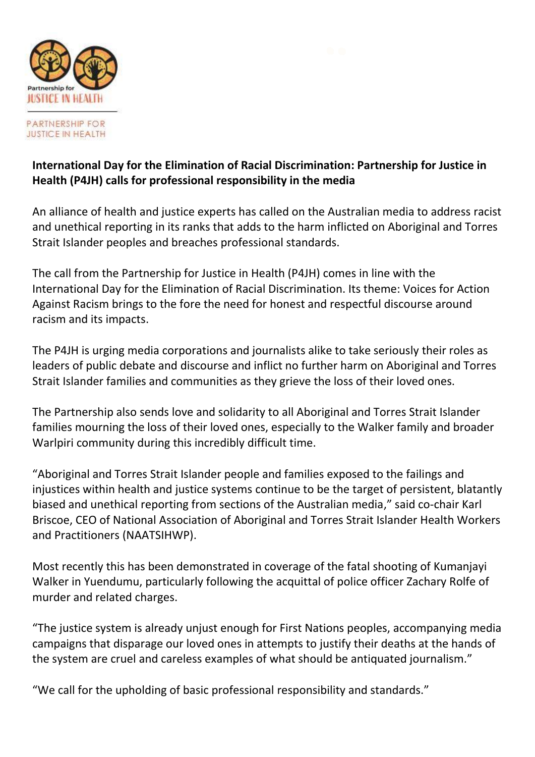

**PARTNERSHIP FOR JUSTICE IN HEALTH** 

## **International Day for the Elimination of Racial Discrimination: Partnership for Justice in Health (P4JH) calls for professional responsibility in the media**

An alliance of health and justice experts has called on the Australian media to address racist and unethical reporting in its ranks that adds to the harm inflicted on Aboriginal and Torres Strait Islander peoples and breaches professional standards.

The call from the Partnership for Justice in Health (P4JH) comes in line with the International Day for the Elimination of Racial Discrimination. Its theme: Voices for Action Against Racism brings to the fore the need for honest and respectful discourse around racism and its impacts.

The P4JH is urging media corporations and journalists alike to take seriously their roles as leaders of public debate and discourse and inflict no further harm on Aboriginal and Torres Strait Islander families and communities as they grieve the loss of their loved ones.

The Partnership also sends love and solidarity to all Aboriginal and Torres Strait Islander families mourning the loss of their loved ones, especially to the Walker family and broader Warlpiri community during this incredibly difficult time.

"Aboriginal and Torres Strait Islander people and families exposed to the failings and injustices within health and justice systems continue to be the target of persistent, blatantly biased and unethical reporting from sections of the Australian media," said co-chair Karl Briscoe, CEO of National Association of Aboriginal and Torres Strait Islander Health Workers and Practitioners (NAATSIHWP).

Most recently this has been demonstrated in coverage of the fatal shooting of Kumanjayi Walker in Yuendumu, particularly following the acquittal of police officer Zachary Rolfe of murder and related charges.

"The justice system is already unjust enough for First Nations peoples, accompanying media campaigns that disparage our loved ones in attempts to justify their deaths at the hands of the system are cruel and careless examples of what should be antiquated journalism."

"We call for the upholding of basic professional responsibility and standards."